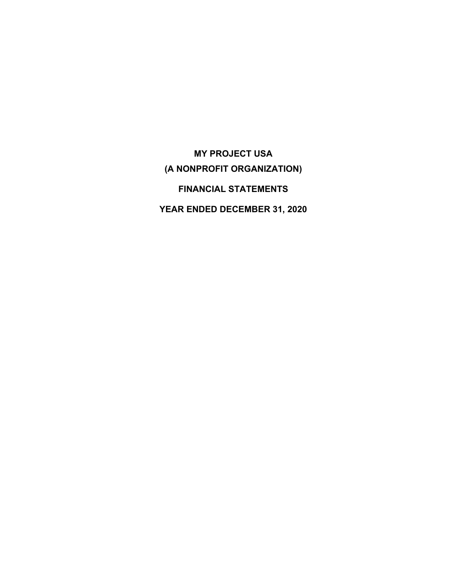**MY PROJECT USA (A NONPROFIT ORGANIZATION)**

**FINANCIAL STATEMENTS**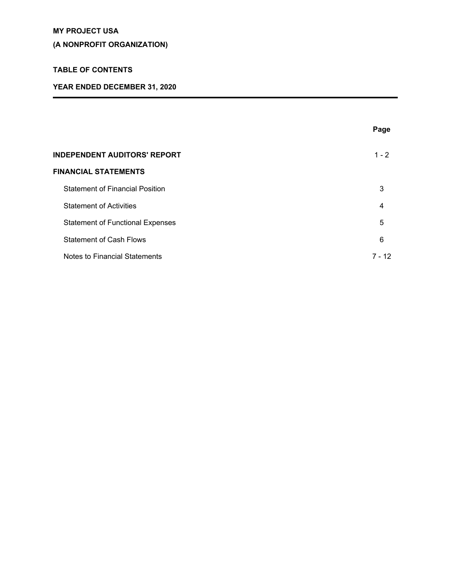# **(A NONPROFIT ORGANIZATION)**

# **TABLE OF CONTENTS**

|                                         | Page    |
|-----------------------------------------|---------|
| <b>INDEPENDENT AUDITORS' REPORT</b>     | $1 - 2$ |
| <b>FINANCIAL STATEMENTS</b>             |         |
| <b>Statement of Financial Position</b>  | 3       |
| <b>Statement of Activities</b>          | 4       |
| <b>Statement of Functional Expenses</b> | 5       |
| <b>Statement of Cash Flows</b>          | 6       |
| Notes to Financial Statements           | 7 - 12  |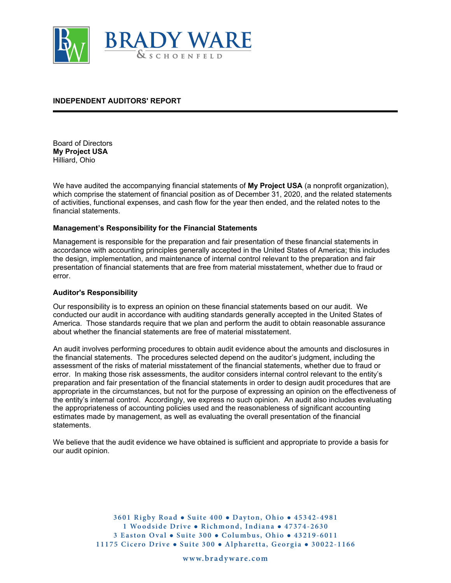

## **INDEPENDENT AUDITORS' REPORT**

Board of Directors **My Project USA** Hilliard, Ohio

We have audited the accompanying financial statements of **My Project USA** (a nonprofit organization), which comprise the statement of financial position as of December 31, 2020, and the related statements of activities, functional expenses, and cash flow for the year then ended, and the related notes to the financial statements.

#### **Management's Responsibility for the Financial Statements**

Management is responsible for the preparation and fair presentation of these financial statements in accordance with accounting principles generally accepted in the United States of America; this includes the design, implementation, and maintenance of internal control relevant to the preparation and fair presentation of financial statements that are free from material misstatement, whether due to fraud or error.

#### **Auditor's Responsibility**

Our responsibility is to express an opinion on these financial statements based on our audit. We conducted our audit in accordance with auditing standards generally accepted in the United States of America. Those standards require that we plan and perform the audit to obtain reasonable assurance about whether the financial statements are free of material misstatement.

An audit involves performing procedures to obtain audit evidence about the amounts and disclosures in the financial statements. The procedures selected depend on the auditor's judgment, including the assessment of the risks of material misstatement of the financial statements, whether due to fraud or error. In making those risk assessments, the auditor considers internal control relevant to the entity's preparation and fair presentation of the financial statements in order to design audit procedures that are appropriate in the circumstances, but not for the purpose of expressing an opinion on the effectiveness of the entity's internal control. Accordingly, we express no such opinion. An audit also includes evaluating the appropriateness of accounting policies used and the reasonableness of significant accounting estimates made by management, as well as evaluating the overall presentation of the financial statements.

We believe that the audit evidence we have obtained is sufficient and appropriate to provide a basis for our audit opinion.

> **3601 Rigby Road** l **Suite 400** l **Dayton, Ohio** l **45342-4981** 1 Woodside Drive • Richmond, Indiana • 47374-2630 **3 Easton Oval** l **Suite 300** l **Columbus, Ohio** l **43219-6011 11175 Cicero Drive** l **Suite 300** l **Alpharetta, Georgia** l **30022-1166**

> > **www.bradyware.com**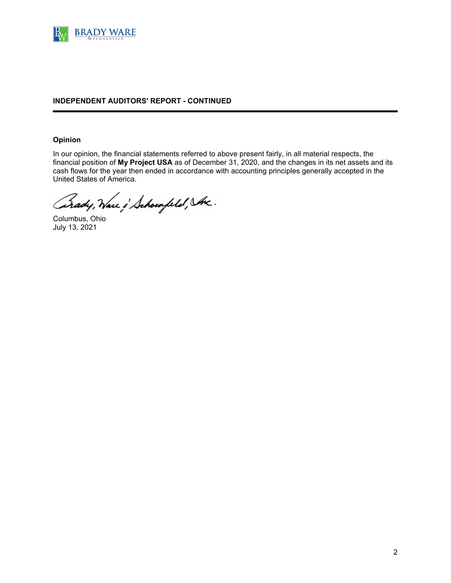

## **INDEPENDENT AUDITORS' REPORT - CONTINUED**

#### **Opinion**

In our opinion, the financial statements referred to above present fairly, in all material respects, the financial position of **My Project USA** as of December 31, 2020, and the changes in its net assets and its cash flows for the year then ended in accordance with accounting principles generally accepted in the United States of America.

Brady, Ware i Schoenfeld, Arc.

Columbus, Ohio July 13, 2021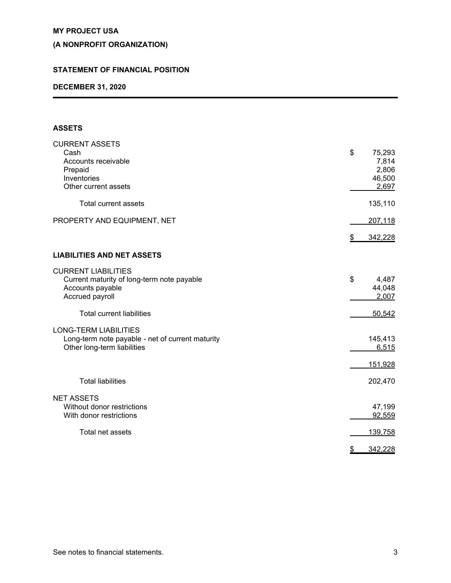## **(A NONPROFIT ORGANIZATION)**

# **STATEMENT OF FINANCIAL POSITION**

## **DECEMBER 31, 2020**

## **ASSETS**

| Cash<br>\$<br>75,293<br>Accounts receivable<br>Prepaid<br>Inventories<br>46,500<br>Other current assets | 7,814<br>2,806<br>2,697 |
|---------------------------------------------------------------------------------------------------------|-------------------------|
|                                                                                                         |                         |
|                                                                                                         |                         |
|                                                                                                         |                         |
|                                                                                                         |                         |
|                                                                                                         |                         |
| 135,110<br><b>Total current assets</b>                                                                  |                         |
| PROPERTY AND EQUIPMENT, NET<br>207,118                                                                  |                         |
| 342,228<br>S.                                                                                           |                         |
| <b>LIABILITIES AND NET ASSETS</b>                                                                       |                         |
| <b>CURRENT LIABILITIES</b>                                                                              |                         |
| Current maturity of long-term note payable<br>\$                                                        | 4,487                   |
| Accounts payable<br>44,048                                                                              |                         |
| Accrued payroll                                                                                         | 2,007                   |
| <b>Total current liabilities</b><br>50,542                                                              |                         |
| <b>LONG-TERM LIABILITIES</b>                                                                            |                         |
| Long-term note payable - net of current maturity<br>145,413                                             |                         |
| Other long-term liabilities                                                                             | 6,515                   |
|                                                                                                         |                         |
| 151,928                                                                                                 |                         |
| <b>Total liabilities</b><br>202,470                                                                     |                         |
| <b>NET ASSETS</b>                                                                                       |                         |
| Without donor restrictions<br>47,199                                                                    |                         |
| With donor restrictions<br>92,559                                                                       |                         |
| 139,758<br>Total net assets                                                                             |                         |
| 342,228<br>\$                                                                                           |                         |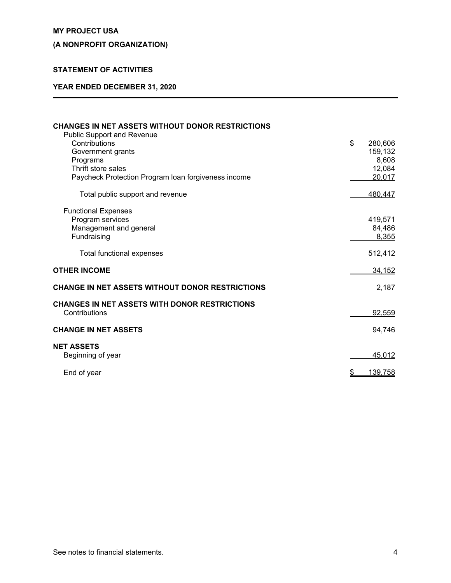## **(A NONPROFIT ORGANIZATION)**

# **STATEMENT OF ACTIVITIES**

| <b>CHANGES IN NET ASSETS WITHOUT DONOR RESTRICTIONS</b><br><b>Public Support and Revenue</b> |               |
|----------------------------------------------------------------------------------------------|---------------|
| Contributions                                                                                | \$<br>280,606 |
|                                                                                              | 159,132       |
| Government grants                                                                            |               |
| Programs                                                                                     | 8,608         |
| Thrift store sales                                                                           | 12,084        |
| Paycheck Protection Program Ioan forgiveness income                                          | 20,017        |
| Total public support and revenue                                                             | 480,447       |
| <b>Functional Expenses</b>                                                                   |               |
| Program services                                                                             | 419,571       |
| Management and general                                                                       | 84,486        |
| Fundraising                                                                                  | 8,355         |
| Total functional expenses                                                                    | 512,412       |
| <b>OTHER INCOME</b>                                                                          | 34,152        |
| CHANGE IN NET ASSETS WITHOUT DONOR RESTRICTIONS                                              | 2,187         |
| <b>CHANGES IN NET ASSETS WITH DONOR RESTRICTIONS</b>                                         |               |
| Contributions                                                                                | 92,559        |
| <b>CHANGE IN NET ASSETS</b>                                                                  | 94,746        |
| <b>NET ASSETS</b>                                                                            |               |
| Beginning of year                                                                            | 45,012        |
| End of year                                                                                  | 139,758<br>S  |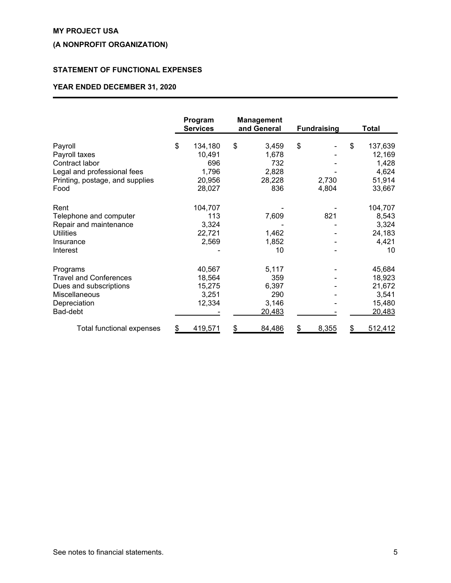## **(A NONPROFIT ORGANIZATION)**

# **STATEMENT OF FUNCTIONAL EXPENSES**

|                                  | Program<br><b>Services</b> | <b>Management</b><br>and General | <b>Fundraising</b> | <b>Total</b>  |
|----------------------------------|----------------------------|----------------------------------|--------------------|---------------|
| Payroll                          | \$<br>134,180              | \$<br>3,459                      | \$                 | \$<br>137,639 |
| Payroll taxes                    | 10,491                     | 1,678                            |                    | 12,169        |
| Contract labor                   | 696                        | 732                              |                    | 1,428         |
| Legal and professional fees      | 1,796                      | 2,828                            |                    | 4,624         |
| Printing, postage, and supplies  | 20,956                     | 28,228                           | 2,730              | 51,914        |
| Food                             | 28,027                     | 836                              | 4,804              | 33,667        |
| Rent                             | 104,707                    |                                  |                    | 104,707       |
| Telephone and computer           | 113                        | 7,609                            | 821                | 8,543         |
| Repair and maintenance           | 3,324                      |                                  |                    | 3,324         |
| <b>Utilities</b>                 | 22,721                     | 1,462                            |                    | 24,183        |
| Insurance                        | 2,569                      | 1,852                            |                    | 4,421         |
| Interest                         |                            | 10                               |                    | 10            |
| Programs                         | 40,567                     | 5,117                            |                    | 45,684        |
| <b>Travel and Conferences</b>    | 18,564                     | 359                              |                    | 18,923        |
| Dues and subscriptions           | 15,275                     | 6,397                            |                    | 21,672        |
| Miscellaneous                    | 3,251                      | 290                              |                    | 3,541         |
| Depreciation                     | 12,334                     | 3,146                            |                    | 15,480        |
| Bad-debt                         |                            | 20,483                           |                    | 20,483        |
| <b>Total functional expenses</b> | \$<br>419,571              | \$<br>84,486                     | \$<br>8,355        | \$<br>512,412 |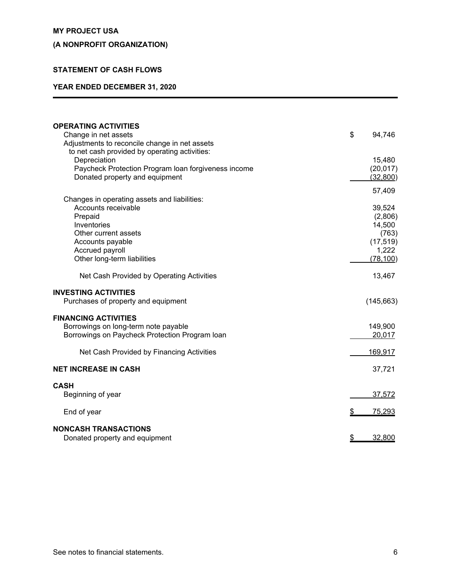## **(A NONPROFIT ORGANIZATION)**

# **STATEMENT OF CASH FLOWS**

| <b>OPERATING ACTIVITIES</b><br>Change in net assets<br>Adjustments to reconcile change in net assets | \$<br>94,746 |
|------------------------------------------------------------------------------------------------------|--------------|
| to net cash provided by operating activities:                                                        |              |
| Depreciation                                                                                         | 15,480       |
| Paycheck Protection Program loan forgiveness income                                                  | (20, 017)    |
| Donated property and equipment                                                                       | (32,800)     |
|                                                                                                      | 57,409       |
| Changes in operating assets and liabilities:                                                         |              |
| Accounts receivable                                                                                  | 39,524       |
| Prepaid                                                                                              | (2,806)      |
| Inventories                                                                                          | 14,500       |
| Other current assets                                                                                 | (763)        |
| Accounts payable                                                                                     | (17, 519)    |
| Accrued payroll                                                                                      | 1,222        |
| Other long-term liabilities                                                                          | (78, 100)    |
| Net Cash Provided by Operating Activities                                                            | 13,467       |
| <b>INVESTING ACTIVITIES</b>                                                                          |              |
| Purchases of property and equipment                                                                  | (145, 663)   |
| <b>FINANCING ACTIVITIES</b>                                                                          |              |
| Borrowings on long-term note payable                                                                 | 149,900      |
| Borrowings on Paycheck Protection Program Ioan                                                       | 20,017       |
| Net Cash Provided by Financing Activities                                                            | 169,917      |
| <b>NET INCREASE IN CASH</b>                                                                          | 37,721       |
| <b>CASH</b>                                                                                          |              |
| Beginning of year                                                                                    | 37,572       |
| End of year                                                                                          | 75,293       |
| <b>NONCASH TRANSACTIONS</b>                                                                          |              |
| Donated property and equipment                                                                       | 32,800<br>\$ |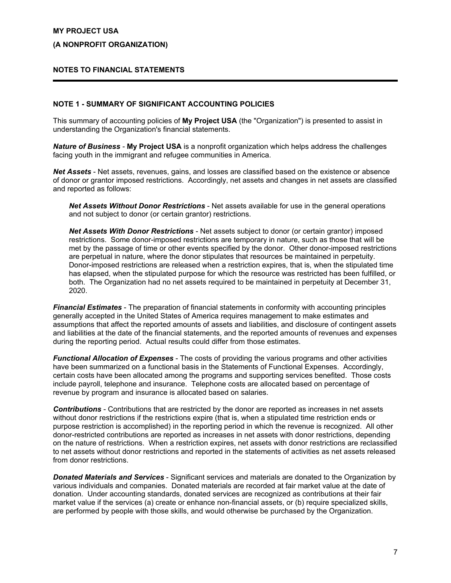#### **NOTES TO FINANCIAL STATEMENTS**

#### **NOTE 1 - SUMMARY OF SIGNIFICANT ACCOUNTING POLICIES**

This summary of accounting policies of **My Project USA** (the "Organization") is presented to assist in understanding the Organization's financial statements.

*Nature of Business -* **My Project USA** is a nonprofit organization which helps address the challenges facing youth in the immigrant and refugee communities in America.

*Net Assets* - Net assets, revenues, gains, and losses are classified based on the existence or absence of donor or grantor imposed restrictions. Accordingly, net assets and changes in net assets are classified and reported as follows:

*Net Assets Without Donor Restrictions* - Net assets available for use in the general operations and not subject to donor (or certain grantor) restrictions.

*Net Assets With Donor Restrictions* - Net assets subject to donor (or certain grantor) imposed restrictions. Some donor-imposed restrictions are temporary in nature, such as those that will be met by the passage of time or other events specified by the donor. Other donor-imposed restrictions are perpetual in nature, where the donor stipulates that resources be maintained in perpetuity. Donor-imposed restrictions are released when a restriction expires, that is, when the stipulated time has elapsed, when the stipulated purpose for which the resource was restricted has been fulfilled, or both. The Organization had no net assets required to be maintained in perpetuity at December 31, 2020.

*Financial Estimates* - The preparation of financial statements in conformity with accounting principles generally accepted in the United States of America requires management to make estimates and assumptions that affect the reported amounts of assets and liabilities, and disclosure of contingent assets and liabilities at the date of the financial statements, and the reported amounts of revenues and expenses during the reporting period. Actual results could differ from those estimates.

*Functional Allocation of Expenses* - The costs of providing the various programs and other activities have been summarized on a functional basis in the Statements of Functional Expenses. Accordingly, certain costs have been allocated among the programs and supporting services benefited. Those costs include payroll, telephone and insurance. Telephone costs are allocated based on percentage of revenue by program and insurance is allocated based on salaries.

*Contributions* - Contributions that are restricted by the donor are reported as increases in net assets without donor restrictions if the restrictions expire (that is, when a stipulated time restriction ends or purpose restriction is accomplished) in the reporting period in which the revenue is recognized. All other donor-restricted contributions are reported as increases in net assets with donor restrictions, depending on the nature of restrictions. When a restriction expires, net assets with donor restrictions are reclassified to net assets without donor restrictions and reported in the statements of activities as net assets released from donor restrictions.

*Donated Materials and Services* - Significant services and materials are donated to the Organization by various individuals and companies. Donated materials are recorded at fair market value at the date of donation. Under accounting standards, donated services are recognized as contributions at their fair market value if the services (a) create or enhance non-financial assets, or (b) require specialized skills, are performed by people with those skills, and would otherwise be purchased by the Organization.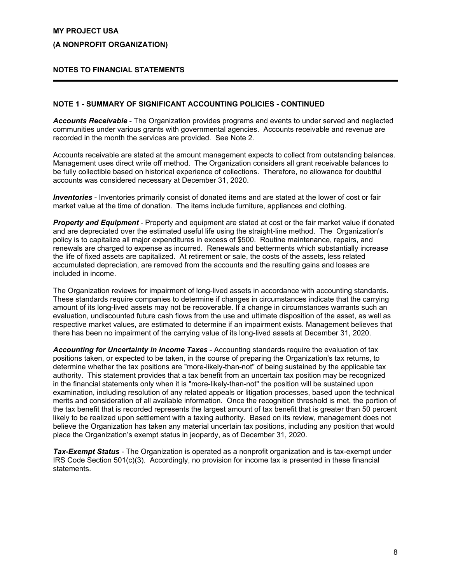# **MY PROJECT USA (A NONPROFIT ORGANIZATION)**

## **NOTES TO FINANCIAL STATEMENTS**

#### **NOTE 1 - SUMMARY OF SIGNIFICANT ACCOUNTING POLICIES - CONTINUED**

*Accounts Receivable* - The Organization provides programs and events to under served and neglected communities under various grants with governmental agencies. Accounts receivable and revenue are recorded in the month the services are provided. See Note 2.

Accounts receivable are stated at the amount management expects to collect from outstanding balances. Management uses direct write off method. The Organization considers all grant receivable balances to be fully collectible based on historical experience of collections. Therefore, no allowance for doubtful accounts was considered necessary at December 31, 2020.

*Inventories* - Inventories primarily consist of donated items and are stated at the lower of cost or fair market value at the time of donation. The items include furniture, appliances and clothing.

*Property and Equipment* - Property and equipment are stated at cost or the fair market value if donated and are depreciated over the estimated useful life using the straight-line method. The Organization's policy is to capitalize all major expenditures in excess of \$500. Routine maintenance, repairs, and renewals are charged to expense as incurred. Renewals and betterments which substantially increase the life of fixed assets are capitalized. At retirement or sale, the costs of the assets, less related accumulated depreciation, are removed from the accounts and the resulting gains and losses are included in income.

The Organization reviews for impairment of long-lived assets in accordance with accounting standards. These standards require companies to determine if changes in circumstances indicate that the carrying amount of its long-lived assets may not be recoverable. If a change in circumstances warrants such an evaluation, undiscounted future cash flows from the use and ultimate disposition of the asset, as well as respective market values, are estimated to determine if an impairment exists. Management believes that there has been no impairment of the carrying value of its long-lived assets at December 31, 2020.

*Accounting for Uncertainty in Income Taxes* - Accounting standards require the evaluation of tax positions taken, or expected to be taken, in the course of preparing the Organization's tax returns, to determine whether the tax positions are "more-likely-than-not" of being sustained by the applicable tax authority. This statement provides that a tax benefit from an uncertain tax position may be recognized in the financial statements only when it is "more-likely-than-not" the position will be sustained upon examination, including resolution of any related appeals or litigation processes, based upon the technical merits and consideration of all available information. Once the recognition threshold is met, the portion of the tax benefit that is recorded represents the largest amount of tax benefit that is greater than 50 percent likely to be realized upon settlement with a taxing authority. Based on its review, management does not believe the Organization has taken any material uncertain tax positions, including any position that would place the Organization's exempt status in jeopardy, as of December 31, 2020.

*Tax-Exempt Status* - The Organization is operated as a nonprofit organization and is tax-exempt under IRS Code Section 501(c)(3). Accordingly, no provision for income tax is presented in these financial statements.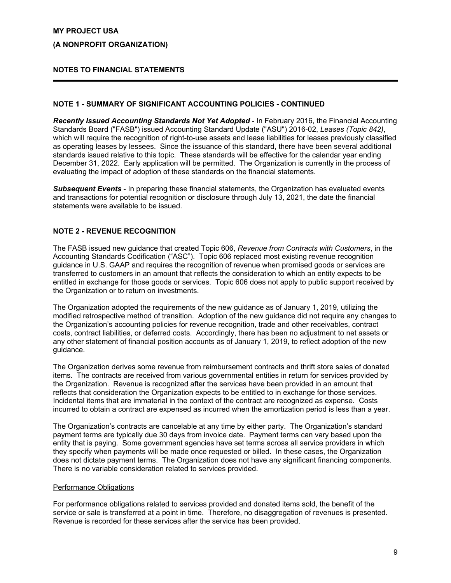# **MY PROJECT USA (A NONPROFIT ORGANIZATION)**

## **NOTES TO FINANCIAL STATEMENTS**

#### **NOTE 1 - SUMMARY OF SIGNIFICANT ACCOUNTING POLICIES - CONTINUED**

*Recently Issued Accounting Standards Not Yet Adopted* - In February 2016, the Financial Accounting Standards Board ("FASB") issued Accounting Standard Update ("ASU") 2016-02, *Leases (Topic 842)*, which will require the recognition of right-to-use assets and lease liabilities for leases previously classified as operating leases by lessees. Since the issuance of this standard, there have been several additional standards issued relative to this topic. These standards will be effective for the calendar year ending December 31, 2022. Early application will be permitted. The Organization is currently in the process of evaluating the impact of adoption of these standards on the financial statements.

**Subsequent Events** - In preparing these financial statements, the Organization has evaluated events and transactions for potential recognition or disclosure through July 13, 2021, the date the financial statements were available to be issued.

## **NOTE 2 - REVENUE RECOGNITION**

The FASB issued new guidance that created Topic 606, *Revenue from Contracts with Customers*, in the Accounting Standards Codification ("ASC"). Topic 606 replaced most existing revenue recognition guidance in U.S. GAAP and requires the recognition of revenue when promised goods or services are transferred to customers in an amount that reflects the consideration to which an entity expects to be entitled in exchange for those goods or services. Topic 606 does not apply to public support received by the Organization or to return on investments.

The Organization adopted the requirements of the new guidance as of January 1, 2019, utilizing the modified retrospective method of transition. Adoption of the new guidance did not require any changes to the Organization's accounting policies for revenue recognition, trade and other receivables, contract costs, contract liabilities, or deferred costs. Accordingly, there has been no adjustment to net assets or any other statement of financial position accounts as of January 1, 2019, to reflect adoption of the new guidance.

The Organization derives some revenue from reimbursement contracts and thrift store sales of donated items. The contracts are received from various governmental entities in return for services provided by the Organization. Revenue is recognized after the services have been provided in an amount that reflects that consideration the Organization expects to be entitled to in exchange for those services. Incidental items that are immaterial in the context of the contract are recognized as expense. Costs incurred to obtain a contract are expensed as incurred when the amortization period is less than a year.

The Organization's contracts are cancelable at any time by either party. The Organization's standard payment terms are typically due 30 days from invoice date. Payment terms can vary based upon the entity that is paying. Some government agencies have set terms across all service providers in which they specify when payments will be made once requested or billed. In these cases, the Organization does not dictate payment terms. The Organization does not have any significant financing components. There is no variable consideration related to services provided.

#### Performance Obligations

For performance obligations related to services provided and donated items sold, the benefit of the service or sale is transferred at a point in time. Therefore, no disaggregation of revenues is presented. Revenue is recorded for these services after the service has been provided.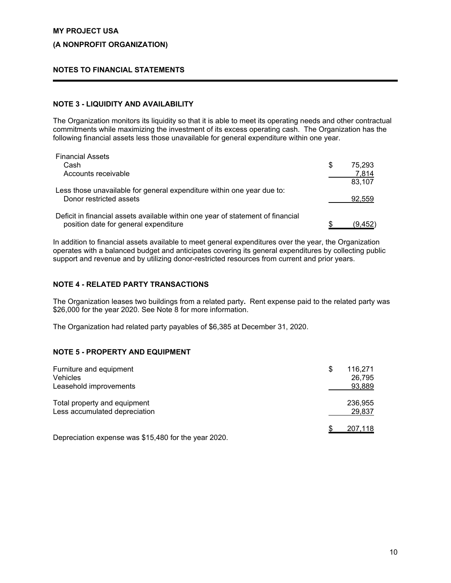## **NOTES TO FINANCIAL STATEMENTS**

#### **NOTE 3 - LIQUIDITY AND AVAILABILITY**

The Organization monitors its liquidity so that it is able to meet its operating needs and other contractual commitments while maximizing the investment of its excess operating cash. The Organization has the following financial assets less those unavailable for general expenditure within one year.

| <b>Financial Assets</b>                                                                                                  |              |
|--------------------------------------------------------------------------------------------------------------------------|--------------|
| Cash                                                                                                                     | \$<br>75.293 |
| Accounts receivable                                                                                                      | 7,814        |
|                                                                                                                          | 83,107       |
| Less those unavailable for general expenditure within one year due to:<br>Donor restricted assets                        | 92.559       |
| Deficit in financial assets available within one year of statement of financial<br>position date for general expenditure | (9, 452)     |

In addition to financial assets available to meet general expenditures over the year, the Organization operates with a balanced budget and anticipates covering its general expenditures by collecting public support and revenue and by utilizing donor-restricted resources from current and prior years.

#### **NOTE 4 - RELATED PARTY TRANSACTIONS**

The Organization leases two buildings from a related party**.** Rent expense paid to the related party was \$26,000 for the year 2020. See Note 8 for more information.

The Organization had related party payables of \$6,385 at December 31, 2020.

### **NOTE 5 - PROPERTY AND EQUIPMENT**

| Furniture and equipment<br>Vehicles<br>Leasehold improvements | \$<br>116.271<br>26.795<br>93,889 |
|---------------------------------------------------------------|-----------------------------------|
| Total property and equipment<br>Less accumulated depreciation | 236,955<br>29,837                 |
| Depreciation expense was \$15,480 for the year 2020.          | 207,118                           |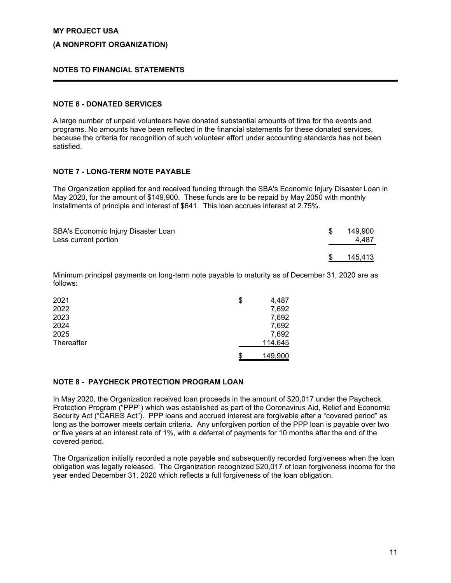#### **NOTES TO FINANCIAL STATEMENTS**

#### **NOTE 6 - DONATED SERVICES**

A large number of unpaid volunteers have donated substantial amounts of time for the events and programs. No amounts have been reflected in the financial statements for these donated services, because the criteria for recognition of such volunteer effort under accounting standards has not been satisfied.

#### **NOTE 7 - LONG-TERM NOTE PAYABLE**

The Organization applied for and received funding through the SBA's Economic Injury Disaster Loan in May 2020, for the amount of \$149,900. These funds are to be repaid by May 2050 with monthly installments of principle and interest of \$641. This loan accrues interest at 2.75%.

| SBA's Economic Injury Disaster Loan<br>Less current portion | -SS | 149.900<br>4.487 |
|-------------------------------------------------------------|-----|------------------|
|                                                             | S   | 145,413          |

Minimum principal payments on long-term note payable to maturity as of December 31, 2020 are as follows:

| 2021       | \$<br>4,487 |
|------------|-------------|
| 2022       | 7,692       |
| 2023       | 7,692       |
| 2024       | 7,692       |
| 2025       | 7,692       |
| Thereafter | 114,645     |
|            | 149,900     |

## **NOTE 8 - PAYCHECK PROTECTION PROGRAM LOAN**

In May 2020, the Organization received loan proceeds in the amount of \$20,017 under the Paycheck Protection Program ("PPP") which was established as part of the Coronavirus Aid, Relief and Economic Security Act ("CARES Act"). PPP loans and accrued interest are forgivable after a "covered period" as long as the borrower meets certain criteria. Any unforgiven portion of the PPP loan is payable over two or five years at an interest rate of 1%, with a deferral of payments for 10 months after the end of the covered period.

The Organization initially recorded a note payable and subsequently recorded forgiveness when the loan obligation was legally released. The Organization recognized \$20,017 of loan forgiveness income for the year ended December 31, 2020 which reflects a full forgiveness of the loan obligation.